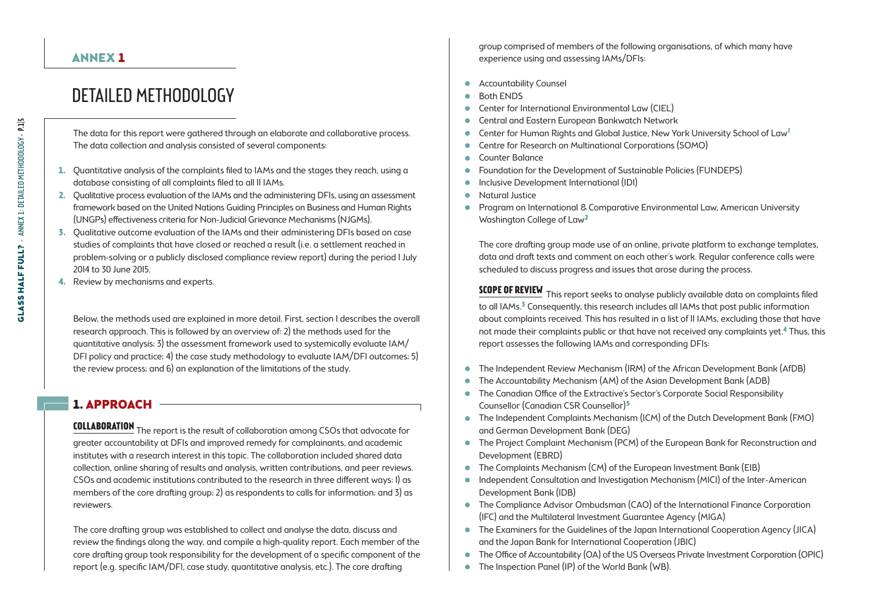#### ANNEX 1

# Detailed Methodology

The data for this report were gathered through an elaborate and collaborative process. The data collection and analysis consisted of several components:

- 1. Quantitative analysis of the complaints filed to IAMs and the stages they reach, using a database consisting of all complaints filed to all 11 IAMs.
- 2. Qualitative process evaluation of the IAMs and the administering DFIs, using an assessment framework based on the United Nations Guiding Principles on Business and Human Rights (UNGPs) effectiveness criteria for Non-Judicial Grievance Mechanisms (NJGMs).
- 3. Qualitative outcome evaluation of the IAMs and their administering DFIs based on case studies of complaints that have closed or reached a result (i.e. a settlement reached in problem-solving or a publicly disclosed compliance review report) during the period 1 July 2014 to 30 June 2015.
- 4. Review by mechanisms and experts.

Below, the methods used are explained in more detail. First, section 1 describes the overall research approach. This is followed by an overview of: 2) the methods used for the quantitative analysis; 3) the assessment framework used to systemically evaluate IAM/ DFI policy and practice; 4) the case study methodology to evaluate IAM/DFI outcomes; 5) the review process; and 6) an explanation of the limitations of the study.

#### 1. APPROACH -

**Collaboration** The report is the result of collaboration among CSOs that advocate for greater accountability at DFIs and improved remedy for complainants, and academic institutes with a research interest in this topic. The collaboration included shared data collection, online sharing of results and analysis, written contributions, and peer reviews. CSOs and academic institutions contributed to the research in three different ways: 1) as members of the core drafting group; 2) as respondents to calls for information; and 3) as reviewers.

The core drafting group was established to collect and analyse the data, discuss and review the findings along the way, and compile a high-quality report. Each member of the core drafting group took responsibility for the development of a specific component of the report (e.g. specific IAM/DFI, case study, quantitative analysis, etc.). The core drafting

group comprised of members of the following organisations, of which many have experience using and assessing IAMs/DFIs:

- . Accountability Counsel
- . Both ENDS
- . Center for International Environmental Law (CIEL)
- . Central and Eastern European Bankwatch Network
- . Center for Human Rights and Global Justice, New York University School of Law<sup>1</sup>
- Centre for Research on Multinational Corporations (SOMO)<br>● Counter Balance
- . Counter Balance
- Foundation for the Development of Sustainable Policies (FUNDEPS)<br>• Inclusive Development International (IDI)
- . Inclusive Development International (IDI)
- . Natural Justice
- . Program on International & Comparative Environmental Law, American University Washington College of Law2

The core drafting group made use of an online, private platform to exchange templates, data and draft texts and comment on each other's work. Regular conference calls were scheduled to discuss progress and issues that arose during the process.

**SCOPE OF REVIEW** This report seeks to analyse publicly available data on complaints filed to all IAMs.3 Consequently, this research includes all IAMs that post public information about complaints received. This has resulted in a list of 11 IAMs, excluding those that have not made their complaints public or that have not received any complaints yet.<sup>4</sup> Thus, this report assesses the following IAMs and corresponding DFIs:

- . The Independent Review Mechanism (IRM) of the African Development Bank (AfDB)
- . The Accountability Mechanism (AM) of the Asian Development Bank (ADB)
- . The Canadian Office of the Extractive's Sector's Corporate Social Responsibility Counsellor (Canadian CSR Counsellor)5
- . The Independent Complaints Mechanism (ICM) of the Dutch Development Bank (FMO) and German Development Bank (DEG)
- . The Project Complaint Mechanism (PCM) of the European Bank for Reconstruction and Development (EBRD)
- The Complaints Mechanism (CM) of the European Investment Bank (EIB)
- . Independent Consultation and Investigation Mechanism (MICI) of the Inter-American Development Bank (IDB)
- . The Compliance Advisor Ombudsman (CAO) of the International Finance Corporation (IFC) and the Multilateral Investment Guarantee Agency (MIGA)
- . The Examiners for the Guidelines of the Japan International Cooperation Agency (JICA) and the Japan Bank for International Cooperation (JBIC)
- . The Office of Accountability (OA) of the US Overseas Private Investment Corporation (OPIC)
- . The Inspection Panel (IP) of the World Bank (WB).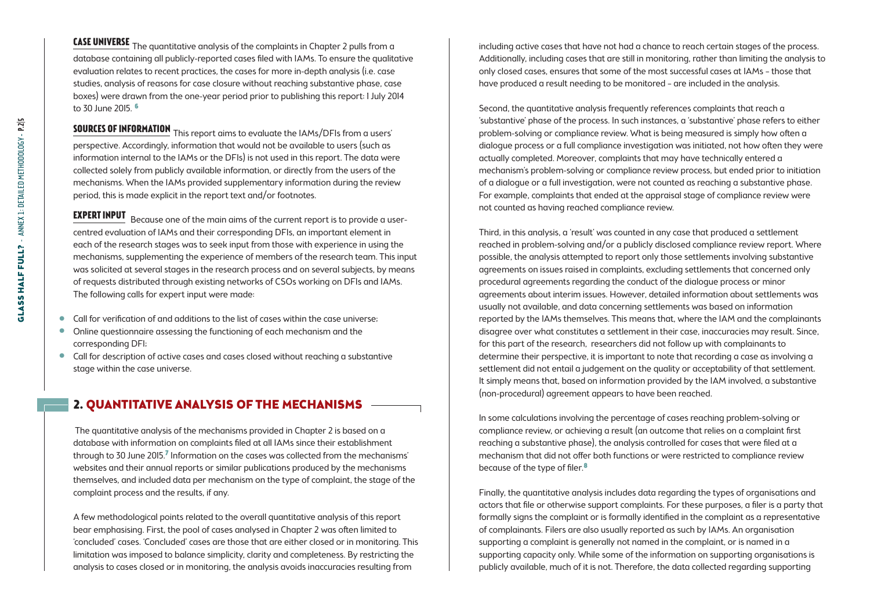**Case universe** The quantitative analysis of the complaints in Chapter 2 pulls from a database containing all publicly-reported cases filed with IAMs. To ensure the qualitative evaluation relates to recent practices, the cases for more in-depth analysis (i.e. case studies, analysis of reasons for case closure without reaching substantive phase, case boxes) were drawn from the one-year period prior to publishing this report: 1 July 2014 to 30 June 2015. 6

**Sources of information** This report aims to evaluate the IAMs/DFIs from a users' perspective. Accordingly, information that would not be available to users (such as information internal to the IAMs or the DFIs) is not used in this report. The data were collected solely from publicly available information, or directly from the users of the mechanisms. When the IAMs provided supplementary information during the review period, this is made explicit in the report text and/or footnotes.

**EXPERT INPUT** Because one of the main aims of the current report is to provide a usercentred evaluation of IAMs and their corresponding DFIs, an important element in each of the research stages was to seek input from those with experience in using the mechanisms, supplementing the experience of members of the research team. This input was solicited at several stages in the research process and on several subjects, by means of requests distributed through existing networks of CSOs working on DFIs and IAMs. The following calls for expert input were made:

- . Call for verification of and additions to the list of cases within the case universe;
- . Online questionnaire assessing the functioning of each mechanism and the corresponding DFI;
- . Call for description of active cases and cases closed without reaching a substantive stage within the case universe.

# 2. Quantitative analysis of the mechanisms

 The quantitative analysis of the mechanisms provided in Chapter 2 is based on a database with information on complaints filed at all IAMs since their establishment through to 30 June 2015.7 Information on the cases was collected from the mechanisms' websites and their annual reports or similar publications produced by the mechanisms themselves, and included data per mechanism on the type of complaint, the stage of the complaint process and the results, if any.

A few methodological points related to the overall quantitative analysis of this report bear emphasising. First, the pool of cases analysed in Chapter 2 was often limited to 'concluded' cases. 'Concluded' cases are those that are either closed or in monitoring. This limitation was imposed to balance simplicity, clarity and completeness. By restricting the analysis to cases closed or in monitoring, the analysis avoids inaccuracies resulting from

including active cases that have not had a chance to reach certain stages of the process. Additionally, including cases that are still in monitoring, rather than limiting the analysis to only closed cases, ensures that some of the most successful cases at IAMs – those that have produced a result needing to be monitored – are included in the analysis.

Second, the quantitative analysis frequently references complaints that reach a 'substantive' phase of the process. In such instances, a 'substantive' phase refers to either problem-solving or compliance review. What is being measured is simply how often a dialogue process or a full compliance investigation was initiated, not how often they were actually completed. Moreover, complaints that may have technically entered a mechanism's problem-solving or compliance review process, but ended prior to initiation of a dialogue or a full investigation, were not counted as reaching a substantive phase. For example, complaints that ended at the appraisal stage of compliance review were not counted as having reached compliance review.

Third, in this analysis, a 'result' was counted in any case that produced a settlement reached in problem-solving and/or a publicly disclosed compliance review report. Where possible, the analysis attempted to report only those settlements involving substantive agreements on issues raised in complaints, excluding settlements that concerned only procedural agreements regarding the conduct of the dialogue process or minor agreements about interim issues. However, detailed information about settlements was usually not available, and data concerning settlements was based on information reported by the IAMs themselves. This means that, where the IAM and the complainants disagree over what constitutes a settlement in their case, inaccuracies may result. Since, for this part of the research, researchers did not follow up with complainants to determine their perspective, it is important to note that recording a case as involving a settlement did not entail a judgement on the quality or acceptability of that settlement. It simply means that, based on information provided by the IAM involved, a substantive (non-procedural) agreement appears to have been reached.

In some calculations involving the percentage of cases reaching problem-solving or compliance review, or achieving a result (an outcome that relies on a complaint first reaching a substantive phase), the analysis controlled for cases that were filed at a mechanism that did not offer both functions or were restricted to compliance review because of the type of filer.8

Finally, the quantitative analysis includes data regarding the types of organisations and actors that file or otherwise support complaints. For these purposes, a filer is a party that formally signs the complaint or is formally identified in the complaint as a representative of complainants. Filers are also usually reported as such by IAMs. An organisation supporting a complaint is generally not named in the complaint, or is named in a supporting capacity only. While some of the information on supporting organisations is publicly available, much of it is not. Therefore, the data collected regarding supporting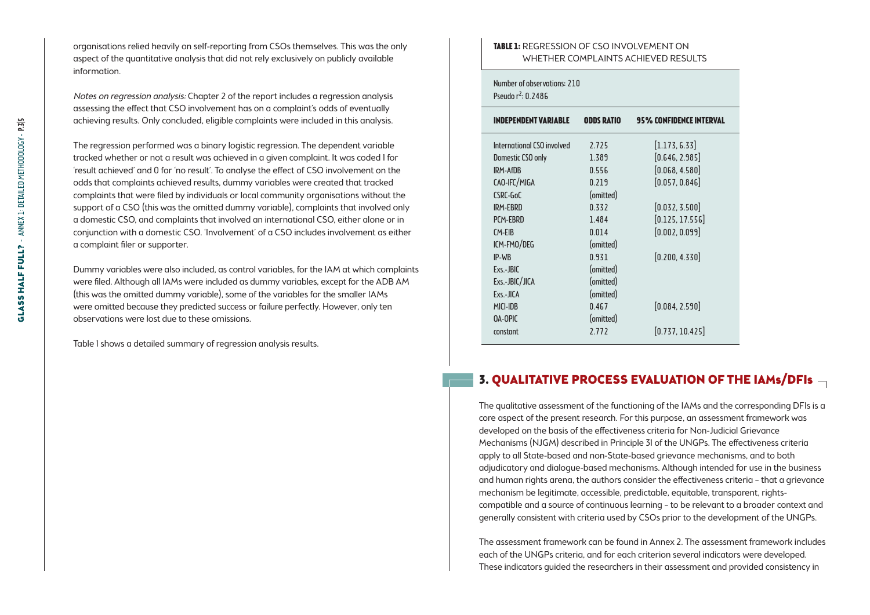organisations relied heavily on self-reporting from CSOs themselves. This was the only aspect of the quantitative analysis that did not rely exclusively on publicly available information.

Notes on regression analysis: Chapter 2 of the report includes a regression analysis assessing the effect that CSO involvement has on a complaint's odds of eventually achieving results. Only concluded, eligible complaints were included in this analysis.

The regression performed was a binary logistic regression. The dependent variable tracked whether or not a result was achieved in a given complaint. It was coded 1 for 'result achieved' and 0 for 'no result'. To analyse the effect of CSO involvement on the odds that complaints achieved results, dummy variables were created that tracked complaints that were filed by individuals or local community organisations without the support of a CSO (this was the omitted dummy variable), complaints that involved only a domestic CSO, and complaints that involved an international CSO, either alone or in conjunction with a domestic CSO. 'Involvement' of a CSO includes involvement as either a complaint filer or supporter.

Dummy variables were also included, as control variables, for the IAM at which complaints were filed. Although all IAMs were included as dummy variables, except for the ADB AM (this was the omitted dummy variable), some of the variables for the smaller IAMs were omitted because they predicted success or failure perfectly. However, only ten observations were lost due to these omissions.

Table 1 shows a detailed summary of regression analysis results.

#### **Table 1:** Regression of CSO Involvement on Whether Complaints Achieved Results

Number of observations: 210 Pseudo r<sup>2</sup>: 0.2486

| ODDS RATIO | <b>95% CONFIDENCE INTERVAL</b> |
|------------|--------------------------------|
| 2.725      | [1.173, 6.33]                  |
| 1.389      | [0.646, 2.985]                 |
| 0.556      | [0.068, 4.580]                 |
| 0.219      | [0.057, 0.846]                 |
| (omitted)  |                                |
| 0.332      | [0.032, 3.500]                 |
| 1.484      | [0.125, 17.556]                |
| 0.014      | [0.002, 0.099]                 |
| (omitted)  |                                |
| 0.931      | [0.200, 4.330]                 |
| (omitted)  |                                |
| (omitted)  |                                |
| (omitted)  |                                |
| 0.467      | [0.084, 2.590]                 |
| (omitted)  |                                |
| 2.772      | [0.737, 10.425]                |
|            |                                |

### 3. Qualitative process evaluation of the IAMs/DFIs

The qualitative assessment of the functioning of the IAMs and the corresponding DFIs is a core aspect of the present research. For this purpose, an assessment framework was developed on the basis of the effectiveness criteria for Non-Judicial Grievance Mechanisms (NJGM) described in Principle 31 of the UNGPs. The effectiveness criteria apply to all State-based and non-State-based grievance mechanisms, and to both adjudicatory and dialogue-based mechanisms. Although intended for use in the business and human rights arena, the authors consider the effectiveness criteria – that a grievance mechanism be legitimate, accessible, predictable, equitable, transparent, rightscompatible and a source of continuous learning – to be relevant to a broader context and generally consistent with criteria used by CSOs prior to the development of the UNGPs.

The assessment framework can be found in Annex 2. The assessment framework includes each of the UNGPs criteria, and for each criterion several indicators were developed. These indicators guided the researchers in their assessment and provided consistency in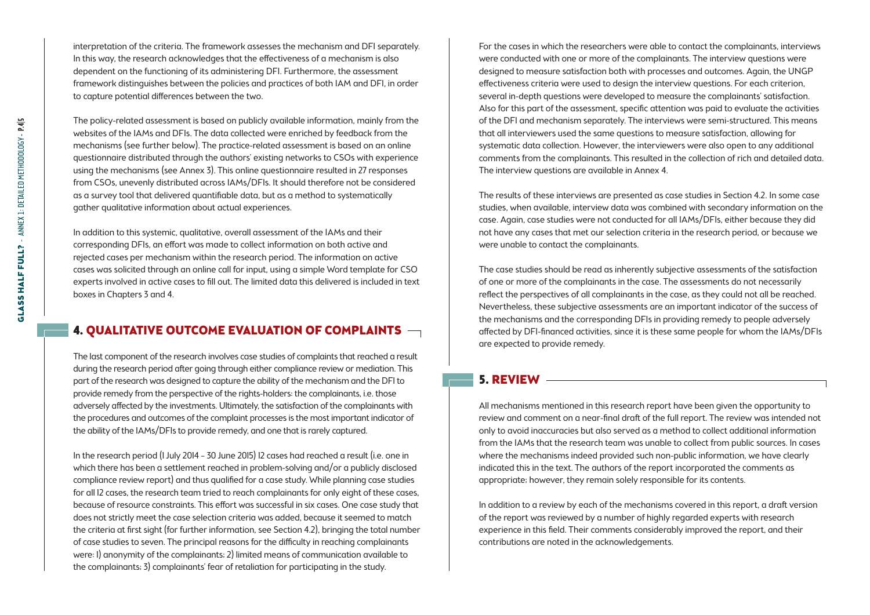interpretation of the criteria. The framework assesses the mechanism and DFI separately. In this way, the research acknowledges that the effectiveness of a mechanism is also dependent on the functioning of its administering DFI. Furthermore, the assessment framework distinguishes between the policies and practices of both IAM and DFI, in order to capture potential differences between the two.

The policy-related assessment is based on publicly available information, mainly from the websites of the IAMs and DFIs. The data collected were enriched by feedback from the mechanisms (see further below). The practice-related assessment is based on an online questionnaire distributed through the authors' existing networks to CSOs with experience using the mechanisms (see Annex 3). This online questionnaire resulted in 27 responses from CSOs, unevenly distributed across IAMs/DFIs. It should therefore not be considered as a survey tool that delivered quantifiable data, but as a method to systematically gather qualitative information about actual experiences.

In addition to this systemic, qualitative, overall assessment of the IAMs and their corresponding DFIs, an effort was made to collect information on both active and rejected cases per mechanism within the research period. The information on active cases was solicited through an online call for input, using a simple Word template for CSO experts involved in active cases to fill out. The limited data this delivered is included in text boxes in Chapters 3 and 4.

## 4. Qualitative outcome evaluation of complaints

The last component of the research involves case studies of complaints that reached a result during the research period after going through either compliance review or mediation. This part of the research was designed to capture the ability of the mechanism and the DFI to provide remedy from the perspective of the rights-holders: the complainants, i.e. those adversely affected by the investments. Ultimately, the satisfaction of the complainants with the procedures and outcomes of the complaint processes is the most important indicator of the ability of the IAMs/DFIs to provide remedy, and one that is rarely captured.

In the research period (1 July 2014 – 30 June 2015) 12 cases had reached a result (i.e. one in which there has been a settlement reached in problem-solving and/or a publicly disclosed compliance review report) and thus qualified for a case study. While planning case studies for all 12 cases, the research team tried to reach complainants for only eight of these cases, because of resource constraints. This effort was successful in six cases. One case study that does not strictly meet the case selection criteria was added, because it seemed to match the criteria at first sight (for further information, see Section 4.2), bringing the total number of case studies to seven. The principal reasons for the difficulty in reaching complainants were: 1) anonymity of the complainants; 2) limited means of communication available to the complainants; 3) complainants' fear of retaliation for participating in the study.

For the cases in which the researchers were able to contact the complainants, interviews were conducted with one or more of the complainants. The interview questions were designed to measure satisfaction both with processes and outcomes. Again, the UNGP effectiveness criteria were used to design the interview questions. For each criterion, several in-depth questions were developed to measure the complainants' satisfaction. Also for this part of the assessment, specific attention was paid to evaluate the activities of the DFI and mechanism separately. The interviews were semi-structured. This means that all interviewers used the same questions to measure satisfaction, allowing for systematic data collection. However, the interviewers were also open to any additional comments from the complainants. This resulted in the collection of rich and detailed data. The interview questions are available in Annex 4.

The results of these interviews are presented as case studies in Section 4.2. In some case studies, when available, interview data was combined with secondary information on the case. Again, case studies were not conducted for all IAMs/DFIs, either because they did not have any cases that met our selection criteria in the research period, or because we were unable to contact the complainants.

The case studies should be read as inherently subjective assessments of the satisfaction of one or more of the complainants in the case. The assessments do not necessarily reflect the perspectives of all complainants in the case, as they could not all be reached. Nevertheless, these subjective assessments are an important indicator of the success of the mechanisms and the corresponding DFIs in providing remedy to people adversely affected by DFI-financed activities, since it is these same people for whom the IAMs/DFIs are expected to provide remedy.

#### 5. Review

All mechanisms mentioned in this research report have been given the opportunity to review and comment on a near-final draft of the full report. The review was intended not only to avoid inaccuracies but also served as a method to collect additional information from the IAMs that the research team was unable to collect from public sources. In cases where the mechanisms indeed provided such non-public information, we have clearly indicated this in the text. The authors of the report incorporated the comments as appropriate; however, they remain solely responsible for its contents.

In addition to a review by each of the mechanisms covered in this report, a draft version of the report was reviewed by a number of highly regarded experts with research experience in this field. Their comments considerably improved the report, and their contributions are noted in the acknowledgements.